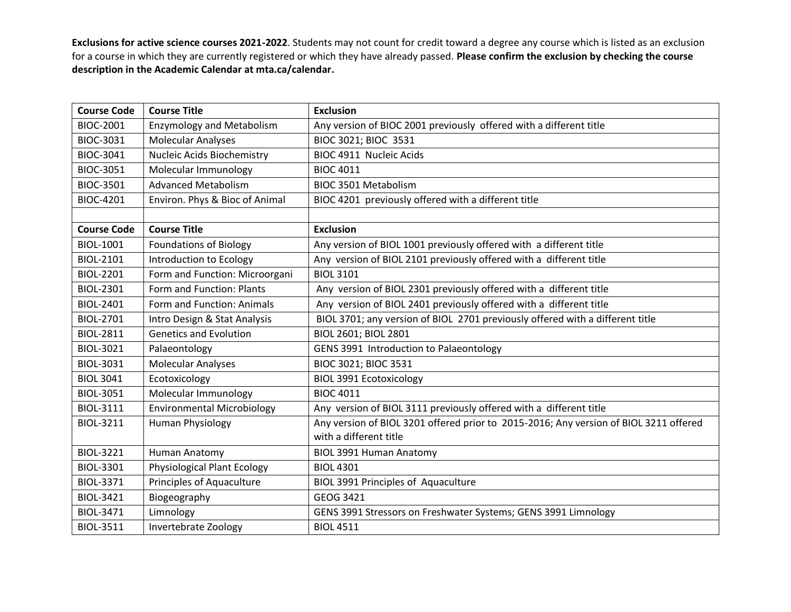| <b>Course Code</b> | <b>Course Title</b>                | <b>Exclusion</b>                                                                      |
|--------------------|------------------------------------|---------------------------------------------------------------------------------------|
| <b>BIOC-2001</b>   | <b>Enzymology and Metabolism</b>   | Any version of BIOC 2001 previously offered with a different title                    |
| BIOC-3031          | <b>Molecular Analyses</b>          | BIOC 3021; BIOC 3531                                                                  |
| BIOC-3041          | Nucleic Acids Biochemistry         | <b>BIOC 4911 Nucleic Acids</b>                                                        |
| BIOC-3051          | Molecular Immunology               | <b>BIOC 4011</b>                                                                      |
| BIOC-3501          | <b>Advanced Metabolism</b>         | <b>BIOC 3501 Metabolism</b>                                                           |
| <b>BIOC-4201</b>   | Environ. Phys & Bioc of Animal     | BIOC 4201 previously offered with a different title                                   |
|                    |                                    |                                                                                       |
| <b>Course Code</b> | <b>Course Title</b>                | <b>Exclusion</b>                                                                      |
| <b>BIOL-1001</b>   | <b>Foundations of Biology</b>      | Any version of BIOL 1001 previously offered with a different title                    |
| BIOL-2101          | Introduction to Ecology            | Any version of BIOL 2101 previously offered with a different title                    |
| <b>BIOL-2201</b>   | Form and Function: Microorgani     | <b>BIOL 3101</b>                                                                      |
| BIOL-2301          | Form and Function: Plants          | Any version of BIOL 2301 previously offered with a different title                    |
| <b>BIOL-2401</b>   | Form and Function: Animals         | Any version of BIOL 2401 previously offered with a different title                    |
| BIOL-2701          | Intro Design & Stat Analysis       | BIOL 3701; any version of BIOL 2701 previously offered with a different title         |
| <b>BIOL-2811</b>   | <b>Genetics and Evolution</b>      | BIOL 2601; BIOL 2801                                                                  |
| BIOL-3021          | Palaeontology                      | GENS 3991 Introduction to Palaeontology                                               |
| <b>BIOL-3031</b>   | <b>Molecular Analyses</b>          | BIOC 3021; BIOC 3531                                                                  |
| <b>BIOL 3041</b>   | Ecotoxicology                      | <b>BIOL 3991 Ecotoxicology</b>                                                        |
| <b>BIOL-3051</b>   | Molecular Immunology               | <b>BIOC 4011</b>                                                                      |
| <b>BIOL-3111</b>   | <b>Environmental Microbiology</b>  | Any version of BIOL 3111 previously offered with a different title                    |
| BIOL-3211          | <b>Human Physiology</b>            | Any version of BIOL 3201 offered prior to 2015-2016; Any version of BIOL 3211 offered |
|                    |                                    | with a different title                                                                |
| <b>BIOL-3221</b>   | Human Anatomy                      | <b>BIOL 3991 Human Anatomy</b>                                                        |
| BIOL-3301          | <b>Physiological Plant Ecology</b> | <b>BIOL 4301</b>                                                                      |
| <b>BIOL-3371</b>   | Principles of Aquaculture          | BIOL 3991 Principles of Aquaculture                                                   |
| <b>BIOL-3421</b>   | Biogeography                       | GEOG 3421                                                                             |
| <b>BIOL-3471</b>   | Limnology                          | GENS 3991 Stressors on Freshwater Systems; GENS 3991 Limnology                        |
| <b>BIOL-3511</b>   | Invertebrate Zoology               | <b>BIOL 4511</b>                                                                      |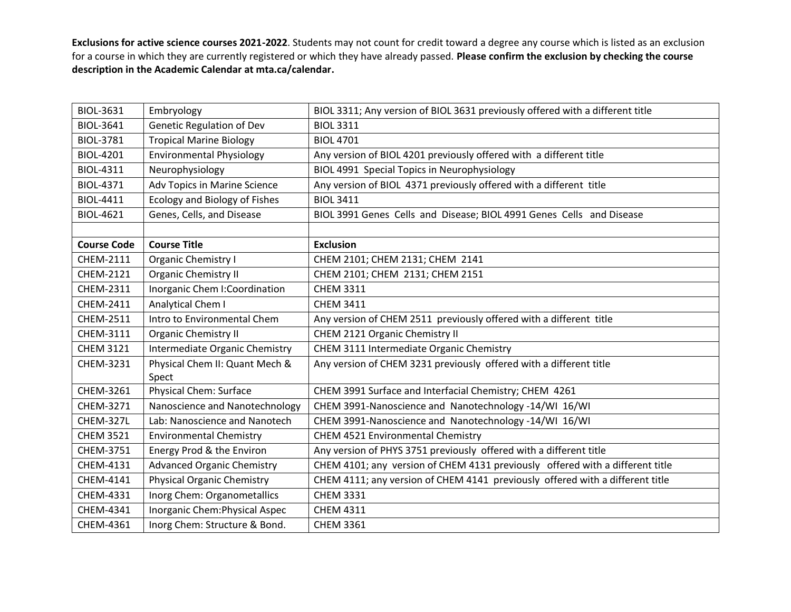| <b>BIOL-3631</b>   | Embryology                        | BIOL 3311; Any version of BIOL 3631 previously offered with a different title |
|--------------------|-----------------------------------|-------------------------------------------------------------------------------|
| <b>BIOL-3641</b>   | <b>Genetic Regulation of Dev</b>  | <b>BIOL 3311</b>                                                              |
| <b>BIOL-3781</b>   | <b>Tropical Marine Biology</b>    | <b>BIOL 4701</b>                                                              |
| <b>BIOL-4201</b>   | <b>Environmental Physiology</b>   | Any version of BIOL 4201 previously offered with a different title            |
| <b>BIOL-4311</b>   | Neurophysiology                   | BIOL 4991 Special Topics in Neurophysiology                                   |
| <b>BIOL-4371</b>   | Adv Topics in Marine Science      | Any version of BIOL 4371 previously offered with a different title            |
| <b>BIOL-4411</b>   | Ecology and Biology of Fishes     | <b>BIOL 3411</b>                                                              |
| <b>BIOL-4621</b>   | Genes, Cells, and Disease         | BIOL 3991 Genes Cells and Disease; BIOL 4991 Genes Cells and Disease          |
|                    |                                   |                                                                               |
| <b>Course Code</b> | <b>Course Title</b>               | <b>Exclusion</b>                                                              |
| CHEM-2111          | <b>Organic Chemistry I</b>        | CHEM 2101; CHEM 2131; CHEM 2141                                               |
| CHEM-2121          | <b>Organic Chemistry II</b>       | CHEM 2101; CHEM 2131; CHEM 2151                                               |
| CHEM-2311          | Inorganic Chem I: Coordination    | <b>CHEM 3311</b>                                                              |
| CHEM-2411          | Analytical Chem I                 | <b>CHEM 3411</b>                                                              |
| CHEM-2511          | Intro to Environmental Chem       | Any version of CHEM 2511 previously offered with a different title            |
| CHEM-3111          | <b>Organic Chemistry II</b>       | CHEM 2121 Organic Chemistry II                                                |
| <b>CHEM 3121</b>   | Intermediate Organic Chemistry    | CHEM 3111 Intermediate Organic Chemistry                                      |
| CHEM-3231          | Physical Chem II: Quant Mech &    | Any version of CHEM 3231 previously offered with a different title            |
|                    | Spect                             |                                                                               |
| CHEM-3261          | <b>Physical Chem: Surface</b>     | CHEM 3991 Surface and Interfacial Chemistry; CHEM 4261                        |
| CHEM-3271          | Nanoscience and Nanotechnology    | CHEM 3991-Nanoscience and Nanotechnology -14/WI 16/WI                         |
| CHEM-327L          | Lab: Nanoscience and Nanotech     | CHEM 3991-Nanoscience and Nanotechnology -14/WI 16/WI                         |
| <b>CHEM 3521</b>   | <b>Environmental Chemistry</b>    | <b>CHEM 4521 Environmental Chemistry</b>                                      |
| CHEM-3751          | Energy Prod & the Environ         | Any version of PHYS 3751 previously offered with a different title            |
| CHEM-4131          | <b>Advanced Organic Chemistry</b> | CHEM 4101; any version of CHEM 4131 previously offered with a different title |
| CHEM-4141          | <b>Physical Organic Chemistry</b> | CHEM 4111; any version of CHEM 4141 previously offered with a different title |
| CHEM-4331          | Inorg Chem: Organometallics       | <b>CHEM 3331</b>                                                              |
| CHEM-4341          | Inorganic Chem: Physical Aspec    | <b>CHEM 4311</b>                                                              |
| CHEM-4361          | Inorg Chem: Structure & Bond.     | <b>CHEM 3361</b>                                                              |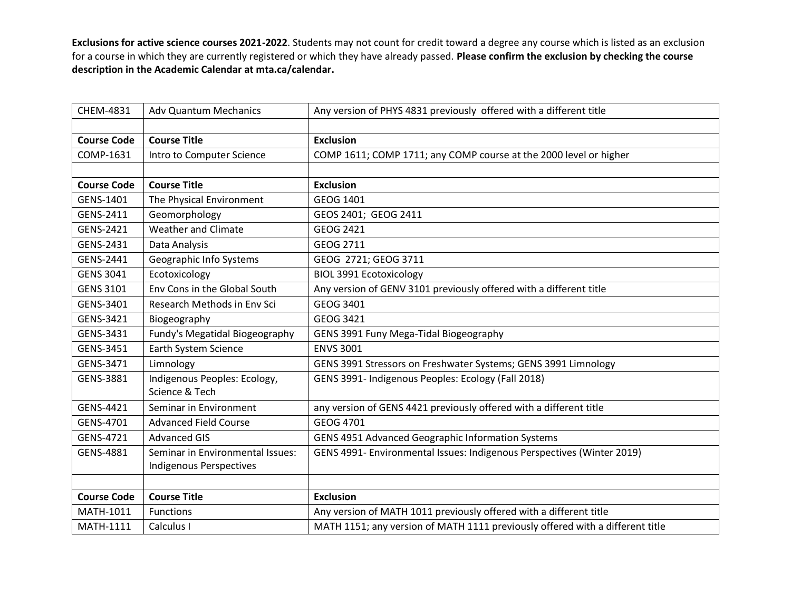| CHEM-4831          | <b>Adv Quantum Mechanics</b>     | Any version of PHYS 4831 previously offered with a different title            |
|--------------------|----------------------------------|-------------------------------------------------------------------------------|
|                    |                                  |                                                                               |
| <b>Course Code</b> | <b>Course Title</b>              | <b>Exclusion</b>                                                              |
| COMP-1631          | Intro to Computer Science        | COMP 1611; COMP 1711; any COMP course at the 2000 level or higher             |
|                    |                                  |                                                                               |
| <b>Course Code</b> | <b>Course Title</b>              | <b>Exclusion</b>                                                              |
| GENS-1401          | The Physical Environment         | GEOG 1401                                                                     |
| GENS-2411          | Geomorphology                    | GEOS 2401; GEOG 2411                                                          |
| GENS-2421          | <b>Weather and Climate</b>       | GEOG 2421                                                                     |
| GENS-2431          | Data Analysis                    | GEOG 2711                                                                     |
| GENS-2441          | Geographic Info Systems          | GEOG 2721; GEOG 3711                                                          |
| <b>GENS 3041</b>   | Ecotoxicology                    | <b>BIOL 3991 Ecotoxicology</b>                                                |
| <b>GENS 3101</b>   | Env Cons in the Global South     | Any version of GENV 3101 previously offered with a different title            |
| GENS-3401          | Research Methods in Env Sci      | GEOG 3401                                                                     |
| GENS-3421          | Biogeography                     | <b>GEOG 3421</b>                                                              |
| GENS-3431          | Fundy's Megatidal Biogeography   | GENS 3991 Funy Mega-Tidal Biogeography                                        |
| GENS-3451          | Earth System Science             | <b>ENVS 3001</b>                                                              |
| GENS-3471          | Limnology                        | GENS 3991 Stressors on Freshwater Systems; GENS 3991 Limnology                |
| GENS-3881          | Indigenous Peoples: Ecology,     | GENS 3991- Indigenous Peoples: Ecology (Fall 2018)                            |
|                    | Science & Tech                   |                                                                               |
| GENS-4421          | Seminar in Environment           | any version of GENS 4421 previously offered with a different title            |
| GENS-4701          | <b>Advanced Field Course</b>     | GEOG 4701                                                                     |
| GENS-4721          | <b>Advanced GIS</b>              | GENS 4951 Advanced Geographic Information Systems                             |
| GENS-4881          | Seminar in Environmental Issues: | GENS 4991- Environmental Issues: Indigenous Perspectives (Winter 2019)        |
|                    | <b>Indigenous Perspectives</b>   |                                                                               |
|                    |                                  |                                                                               |
| <b>Course Code</b> | <b>Course Title</b>              | <b>Exclusion</b>                                                              |
| <b>MATH-1011</b>   | <b>Functions</b>                 | Any version of MATH 1011 previously offered with a different title            |
| <b>MATH-1111</b>   | Calculus I                       | MATH 1151; any version of MATH 1111 previously offered with a different title |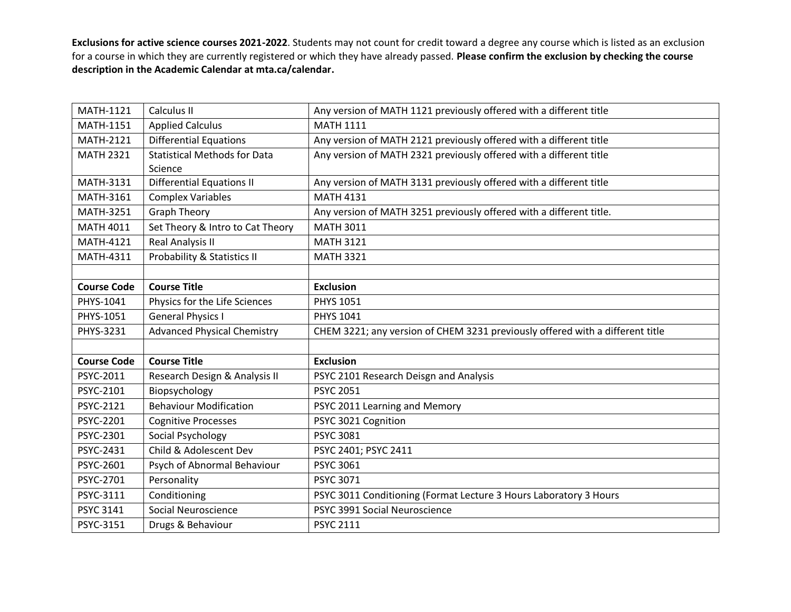| MATH-1121          | Calculus II                                    | Any version of MATH 1121 previously offered with a different title            |
|--------------------|------------------------------------------------|-------------------------------------------------------------------------------|
| <b>MATH-1151</b>   | <b>Applied Calculus</b>                        | <b>MATH 1111</b>                                                              |
| MATH-2121          | <b>Differential Equations</b>                  | Any version of MATH 2121 previously offered with a different title            |
| <b>MATH 2321</b>   | <b>Statistical Methods for Data</b><br>Science | Any version of MATH 2321 previously offered with a different title            |
| MATH-3131          | <b>Differential Equations II</b>               | Any version of MATH 3131 previously offered with a different title            |
| MATH-3161          | <b>Complex Variables</b>                       | <b>MATH 4131</b>                                                              |
| <b>MATH-3251</b>   | <b>Graph Theory</b>                            | Any version of MATH 3251 previously offered with a different title.           |
| <b>MATH 4011</b>   | Set Theory & Intro to Cat Theory               | <b>MATH 3011</b>                                                              |
| <b>MATH-4121</b>   | Real Analysis II                               | <b>MATH 3121</b>                                                              |
| MATH-4311          | Probability & Statistics II                    | <b>MATH 3321</b>                                                              |
|                    |                                                |                                                                               |
| <b>Course Code</b> | <b>Course Title</b>                            | <b>Exclusion</b>                                                              |
| PHYS-1041          | Physics for the Life Sciences                  | <b>PHYS 1051</b>                                                              |
| PHYS-1051          | <b>General Physics I</b>                       | <b>PHYS 1041</b>                                                              |
| PHYS-3231          | <b>Advanced Physical Chemistry</b>             | CHEM 3221; any version of CHEM 3231 previously offered with a different title |
|                    |                                                |                                                                               |
| <b>Course Code</b> | <b>Course Title</b>                            | <b>Exclusion</b>                                                              |
| PSYC-2011          | Research Design & Analysis II                  | PSYC 2101 Research Deisgn and Analysis                                        |
| PSYC-2101          | Biopsychology                                  | <b>PSYC 2051</b>                                                              |
| PSYC-2121          | <b>Behaviour Modification</b>                  | PSYC 2011 Learning and Memory                                                 |
| PSYC-2201          | <b>Cognitive Processes</b>                     | PSYC 3021 Cognition                                                           |
| PSYC-2301          | Social Psychology                              | <b>PSYC 3081</b>                                                              |
| PSYC-2431          | Child & Adolescent Dev                         | PSYC 2401; PSYC 2411                                                          |
| PSYC-2601          | Psych of Abnormal Behaviour                    | <b>PSYC 3061</b>                                                              |
| PSYC-2701          | Personality                                    | PSYC 3071                                                                     |
| PSYC-3111          | Conditioning                                   | PSYC 3011 Conditioning (Format Lecture 3 Hours Laboratory 3 Hours             |
| <b>PSYC 3141</b>   | Social Neuroscience                            | PSYC 3991 Social Neuroscience                                                 |
|                    |                                                |                                                                               |